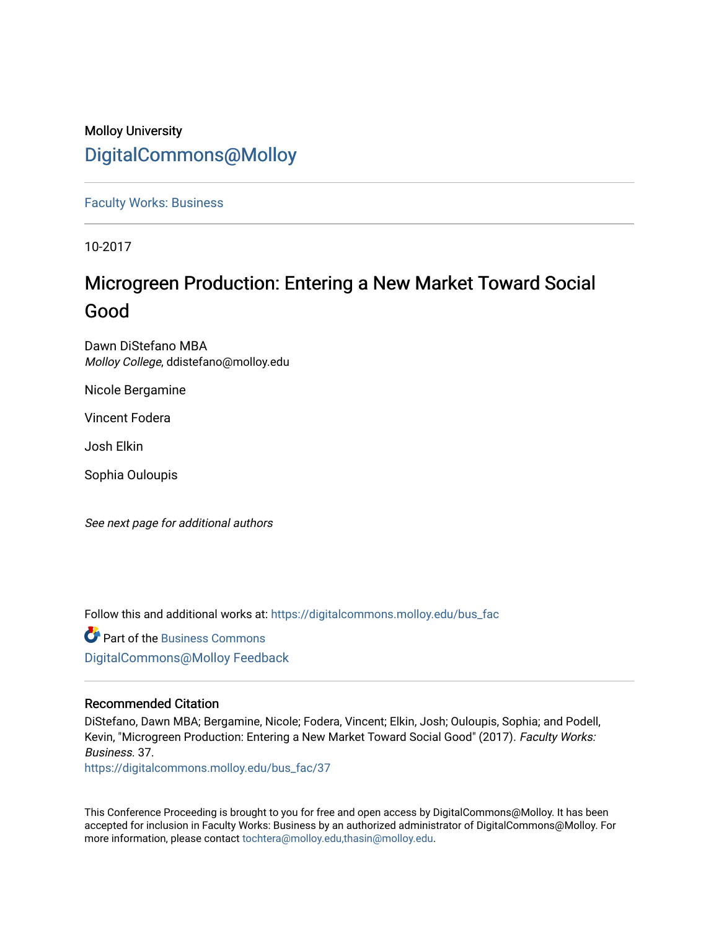### Molloy University [DigitalCommons@Molloy](https://digitalcommons.molloy.edu/)

[Faculty Works: Business](https://digitalcommons.molloy.edu/bus_fac) 

10-2017

## Microgreen Production: Entering a New Market Toward Social Good

Dawn DiStefano MBA Molloy College, ddistefano@molloy.edu

Nicole Bergamine

Vincent Fodera

Josh Elkin

Sophia Ouloupis

See next page for additional authors

Follow this and additional works at: [https://digitalcommons.molloy.edu/bus\\_fac](https://digitalcommons.molloy.edu/bus_fac?utm_source=digitalcommons.molloy.edu%2Fbus_fac%2F37&utm_medium=PDF&utm_campaign=PDFCoverPages)

**P** Part of the [Business Commons](https://network.bepress.com/hgg/discipline/622?utm_source=digitalcommons.molloy.edu%2Fbus_fac%2F37&utm_medium=PDF&utm_campaign=PDFCoverPages) [DigitalCommons@Molloy Feedback](https://molloy.libwizard.com/f/dcfeedback)

### Recommended Citation

DiStefano, Dawn MBA; Bergamine, Nicole; Fodera, Vincent; Elkin, Josh; Ouloupis, Sophia; and Podell, Kevin, "Microgreen Production: Entering a New Market Toward Social Good" (2017). Faculty Works: Business. 37.

[https://digitalcommons.molloy.edu/bus\\_fac/37](https://digitalcommons.molloy.edu/bus_fac/37?utm_source=digitalcommons.molloy.edu%2Fbus_fac%2F37&utm_medium=PDF&utm_campaign=PDFCoverPages) 

This Conference Proceeding is brought to you for free and open access by DigitalCommons@Molloy. It has been accepted for inclusion in Faculty Works: Business by an authorized administrator of DigitalCommons@Molloy. For more information, please contact [tochtera@molloy.edu,thasin@molloy.edu.](mailto:tochtera@molloy.edu,thasin@molloy.edu)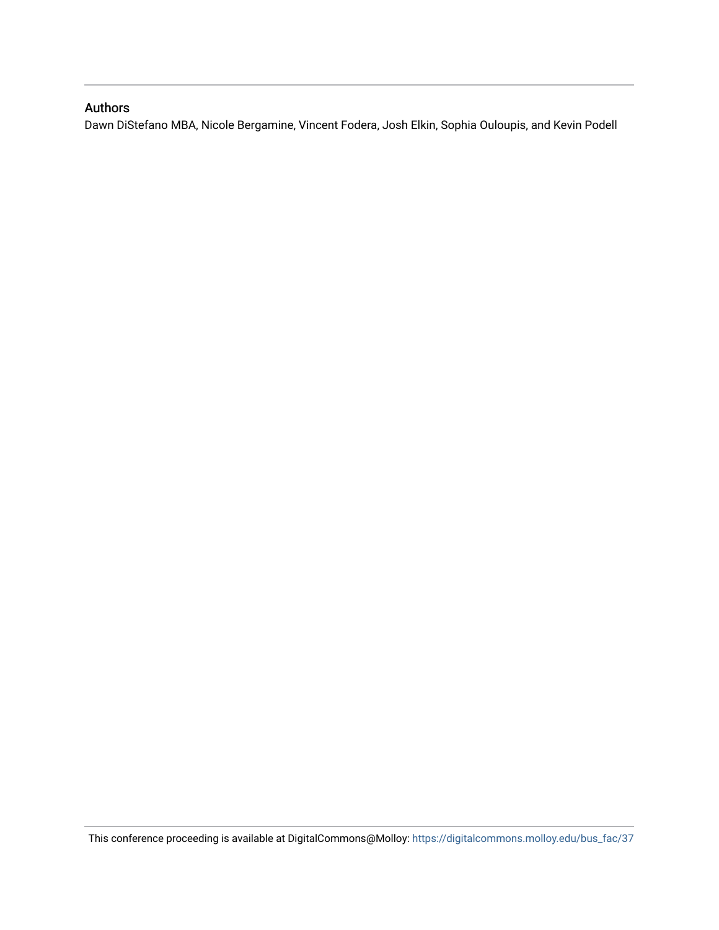### Authors

Dawn DiStefano MBA, Nicole Bergamine, Vincent Fodera, Josh Elkin, Sophia Ouloupis, and Kevin Podell

This conference proceeding is available at DigitalCommons@Molloy: [https://digitalcommons.molloy.edu/bus\\_fac/37](https://digitalcommons.molloy.edu/bus_fac/37)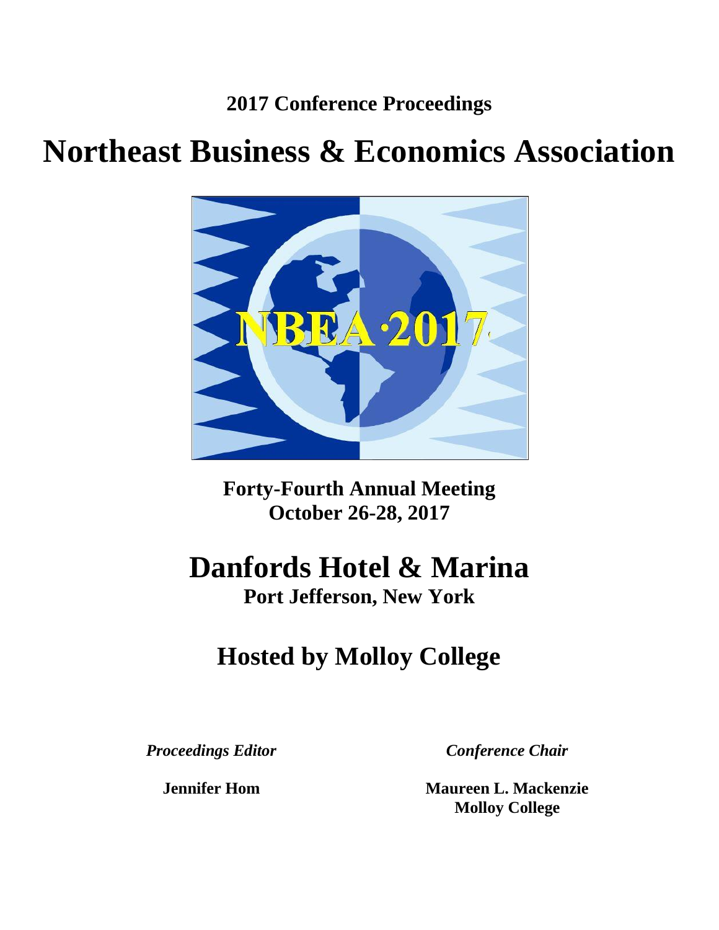**2017 Conference Proceedings**

# **Northeast Business & Economics Association**



**Forty-Fourth Annual Meeting October 26-28, 2017**

# **Danfords Hotel & Marina**

**Port Jefferson, New York**

# **Hosted by Molloy College**

*Proceedings Editor*

**Jennifer Hom**

*Conference Chair*

**Maureen L. Mackenzie Molloy College**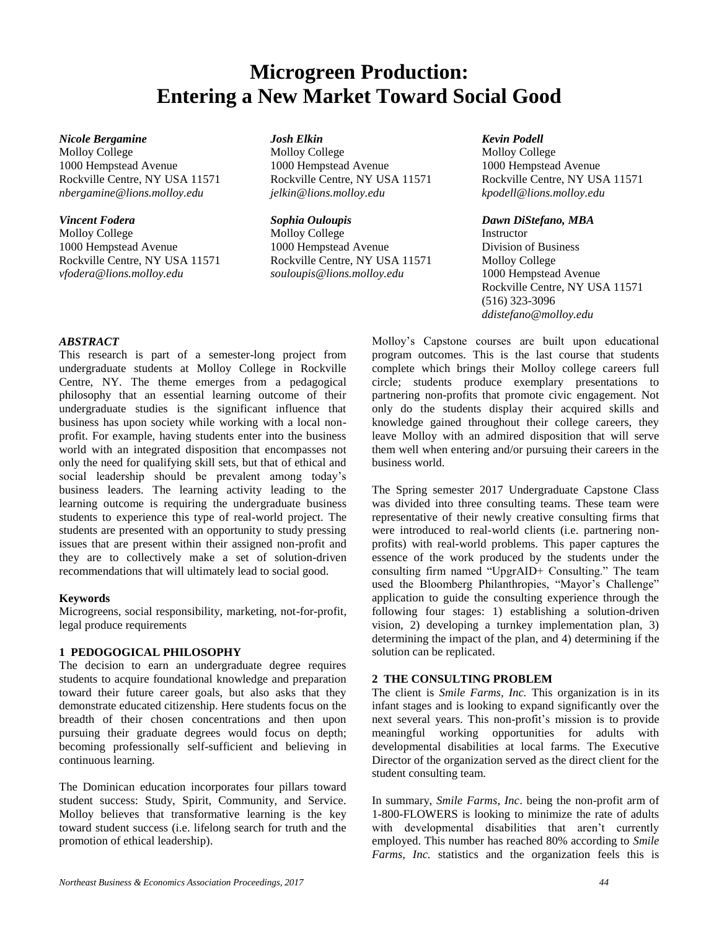## **Microgreen Production: Entering a New Market Toward Social Good**

#### *Nicole Bergamine Josh Elkin Kevin Podell*

Molloy College **Molloy College** Molloy College Molloy College Molloy College 1000 Hempstead Avenue 1000 Hempstead Avenue 1000 Hempstead Avenue Rockville Centre, NY USA 11571 Rockville Centre, NY USA 11571 Rockville Centre, NY USA 11571 *nbergamine@lions.molloy.edu jelkin@lions.molloy.edu kpodell@lions.molloy.edu*

*Vincent Fodera Sophia Ouloupis Dawn DiStefano, MBA* Molloy College Molloy College Instructor 1000 Hempstead Avenue 1000 Hempstead Avenue Division of Business Rockville Centre, NY USA 11571 Rockville Centre, NY USA 11571 Molloy College *vfodera@lions.molloy.edu souloupis@lions.molloy.edu* 1000 Hempstead Avenue

Rockville Centre, NY USA 11571 (516) 323-3096 *ddistefano@molloy.edu*

#### *ABSTRACT*

This research is part of a semester-long project from undergraduate students at Molloy College in Rockville Centre, NY. The theme emerges from a pedagogical philosophy that an essential learning outcome of their undergraduate studies is the significant influence that business has upon society while working with a local nonprofit. For example, having students enter into the business world with an integrated disposition that encompasses not only the need for qualifying skill sets, but that of ethical and social leadership should be prevalent among today's business leaders. The learning activity leading to the learning outcome is requiring the undergraduate business students to experience this type of real-world project. The students are presented with an opportunity to study pressing issues that are present within their assigned non-profit and they are to collectively make a set of solution-driven recommendations that will ultimately lead to social good.

#### **Keywords**

Microgreens, social responsibility, marketing, not-for-profit, legal produce requirements

#### **1 PEDOGOGICAL PHILOSOPHY**

The decision to earn an undergraduate degree requires students to acquire foundational knowledge and preparation toward their future career goals, but also asks that they demonstrate educated citizenship. Here students focus on the breadth of their chosen concentrations and then upon pursuing their graduate degrees would focus on depth; becoming professionally self-sufficient and believing in continuous learning.

The Dominican education incorporates four pillars toward student success: Study, Spirit, Community, and Service. Molloy believes that transformative learning is the key toward student success (i.e. lifelong search for truth and the promotion of ethical leadership).

Molloy's Capstone courses are built upon educational program outcomes. This is the last course that students complete which brings their Molloy college careers full circle; students produce exemplary presentations to partnering non-profits that promote civic engagement. Not only do the students display their acquired skills and knowledge gained throughout their college careers, they leave Molloy with an admired disposition that will serve them well when entering and/or pursuing their careers in the business world.

The Spring semester 2017 Undergraduate Capstone Class was divided into three consulting teams. These team were representative of their newly creative consulting firms that were introduced to real-world clients (i.e. partnering nonprofits) with real-world problems. This paper captures the essence of the work produced by the students under the consulting firm named "UpgrAID+ Consulting." The team used the Bloomberg Philanthropies, "Mayor's Challenge" application to guide the consulting experience through the following four stages: 1) establishing a solution-driven vision, 2) developing a turnkey implementation plan, 3) determining the impact of the plan, and 4) determining if the solution can be replicated.

#### **2 THE CONSULTING PROBLEM**

The client is *Smile Farms, Inc.* This organization is in its infant stages and is looking to expand significantly over the next several years. This non-profit's mission is to provide meaningful working opportunities for adults with developmental disabilities at local farms. The Executive Director of the organization served as the direct client for the student consulting team.

In summary, *Smile Farms, Inc*. being the non-profit arm of 1-800-FLOWERS is looking to minimize the rate of adults with developmental disabilities that aren't currently employed. This number has reached 80% according to *Smile Farms, Inc.* statistics and the organization feels this is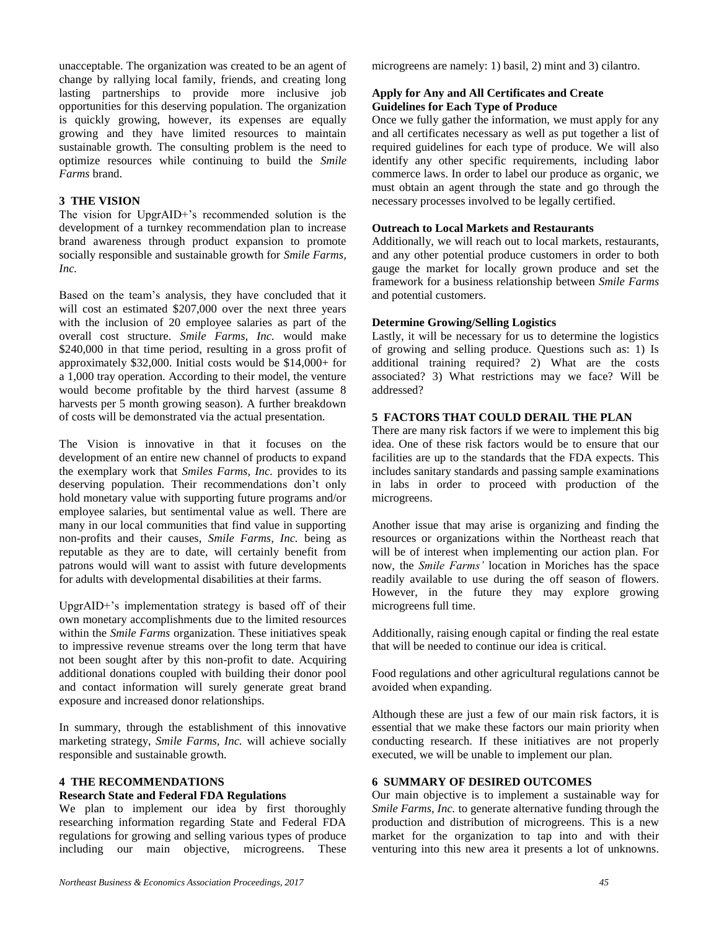unacceptable. The organization was created to be an agent of change by rallying local family, friends, and creating long lasting partnerships to provide more inclusive job opportunities for this deserving population. The organization is quickly growing, however, its expenses are equally growing and they have limited resources to maintain sustainable growth. The consulting problem is the need to optimize resources while continuing to build the *Smile Farms* brand.

#### **3 THE VISION**

The vision for UpgrAID+'s recommended solution is the development of a turnkey recommendation plan to increase brand awareness through product expansion to promote socially responsible and sustainable growth for *Smile Farms, Inc.*

Based on the team's analysis, they have concluded that it will cost an estimated \$207,000 over the next three years with the inclusion of 20 employee salaries as part of the overall cost structure. *Smile Farms, Inc.* would make \$240,000 in that time period, resulting in a gross profit of approximately \$32,000. Initial costs would be \$14,000+ for a 1,000 tray operation. According to their model, the venture would become profitable by the third harvest (assume 8 harvests per 5 month growing season). A further breakdown of costs will be demonstrated via the actual presentation.

The Vision is innovative in that it focuses on the development of an entire new channel of products to expand the exemplary work that *Smiles Farms, Inc.* provides to its deserving population. Their recommendations don't only hold monetary value with supporting future programs and/or employee salaries, but sentimental value as well. There are many in our local communities that find value in supporting non-profits and their causes, *Smile Farms, Inc.* being as reputable as they are to date, will certainly benefit from patrons would will want to assist with future developments for adults with developmental disabilities at their farms.

UpgrAID+'s implementation strategy is based off of their own monetary accomplishments due to the limited resources within the *Smile Farms* organization. These initiatives speak to impressive revenue streams over the long term that have not been sought after by this non-profit to date. Acquiring additional donations coupled with building their donor pool and contact information will surely generate great brand exposure and increased donor relationships.

In summary, through the establishment of this innovative marketing strategy, *Smile Farms, Inc.* will achieve socially responsible and sustainable growth.

#### **4 THE RECOMMENDATIONS**

#### **Research State and Federal FDA Regulations**

We plan to implement our idea by first thoroughly researching information regarding State and Federal FDA regulations for growing and selling various types of produce including our main objective, microgreens. These microgreens are namely: 1) basil, 2) mint and 3) cilantro.

#### **Apply for Any and All Certificates and Create Guidelines for Each Type of Produce**

Once we fully gather the information, we must apply for any and all certificates necessary as well as put together a list of required guidelines for each type of produce. We will also identify any other specific requirements, including labor commerce laws. In order to label our produce as organic, we must obtain an agent through the state and go through the necessary processes involved to be legally certified.

#### **Outreach to Local Markets and Restaurants**

Additionally, we will reach out to local markets, restaurants, and any other potential produce customers in order to both gauge the market for locally grown produce and set the framework for a business relationship between *Smile Farms* and potential customers.

#### **Determine Growing/Selling Logistics**

Lastly, it will be necessary for us to determine the logistics of growing and selling produce. Questions such as: 1) Is additional training required? 2) What are the costs associated? 3) What restrictions may we face? Will be addressed?

#### **5 FACTORS THAT COULD DERAIL THE PLAN**

There are many risk factors if we were to implement this big idea. One of these risk factors would be to ensure that our facilities are up to the standards that the FDA expects. This includes sanitary standards and passing sample examinations in labs in order to proceed with production of the microgreens.

Another issue that may arise is organizing and finding the resources or organizations within the Northeast reach that will be of interest when implementing our action plan. For now, the *Smile Farms'* location in Moriches has the space readily available to use during the off season of flowers. However, in the future they may explore growing microgreens full time.

Additionally, raising enough capital or finding the real estate that will be needed to continue our idea is critical.

Food regulations and other agricultural regulations cannot be avoided when expanding.

Although these are just a few of our main risk factors, it is essential that we make these factors our main priority when conducting research. If these initiatives are not properly executed, we will be unable to implement our plan.

#### **6 SUMMARY OF DESIRED OUTCOMES**

Our main objective is to implement a sustainable way for *Smile Farms, Inc.* to generate alternative funding through the production and distribution of microgreens. This is a new market for the organization to tap into and with their venturing into this new area it presents a lot of unknowns.